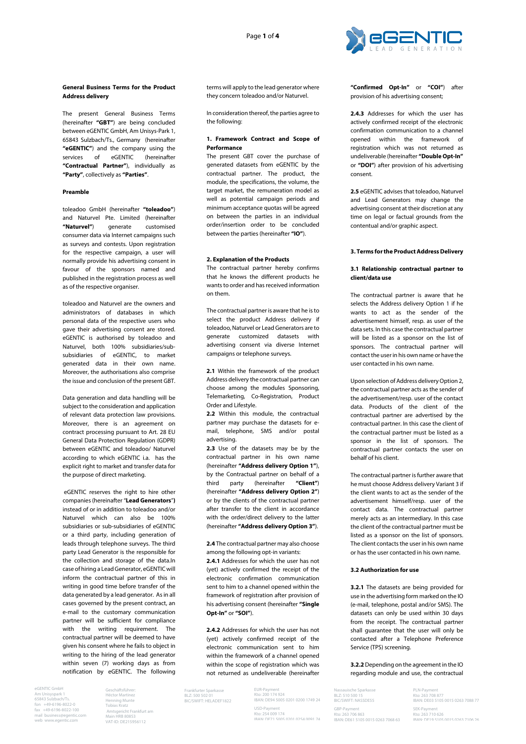

# **General Business Terms for the Product Address delivery**

The present General Business Terms (hereinafter **"GBT"**) are being concluded between eGENTIC GmbH, Am Unisys-Park 1, 65843 Sulzbach/Ts., Germany (hereinafter **"eGENTIC"**) and the company using the services of eGENTIC (hereinafter **"Contractual Partner"**), individually as **"Party"**, collectively as **"Parties"**.

#### **Preamble**

toleadoo GmbH (hereinafter **"toleadoo"**) and Naturvel Pte. Limited (hereinafter **"Naturvel"**) generate customised consumer data via Internet campaigns such as surveys and contests. Upon registration for the respective campaign, a user will normally provide his advertising consent in favour of the sponsors named and published in the registration process as well as of the respective organiser.

toleadoo and Naturvel are the owners and administrators of databases in which personal data of the respective users who gave their advertising consent are stored. eGENTIC is authorised by toleadoo and Naturvel, both 100% subsidiaries/subsubsidiaries of eGENTIC, to market generated data in their own name. Moreover, the authorisations also comprise the issue and conclusion of the present GBT.

Data generation and data handling will be subject to the consideration and application of relevant data protection law provisions. Moreover, there is an agreement on contract processing pursuant to Art. 28 EU General Data Protection Regulation (GDPR) between eGENTIC and toleadoo/ Naturvel according to which eGENTIC i.a. has the explicit right to market and transfer data for the purpose of direct marketing.

eGENTIC reserves the right to hire other companies (hereinafter "**Lead Generators**"**)** instead of or in addition to toleadoo and/or Naturvel which can also be 100% subsidiaries or sub-subsidiaries of eGENTIC or a third party, including generation of leads through telephone surveys. The third party Lead Generator is the responsible for the collection and storage of the data.In case of hiring a Lead Generator, eGENTIC will inform the contractual partner of this in writing in good time before transfer of the data generated by a lead generator. As in all cases governed by the present contract, an e-mail to the customary communication partner will be sufficient for compliance with the writing requirement. The contractual partner will be deemed to have given his consent where he fails to object in writing to the hiring of the lead generator within seven (7) working days as from notification by eGENTIC. The following

eGENTIC GmbH Am Unisyspark 1 65843 Sulzbach/Ts. fon +49-6196-8022-0 fax +49-6196-8022-100 mail business@egentic.com web www.egentic.com

Geschäftsführer: Héctor Martinez Henning Munte Tobias Kratz Amtsgericht Frankfurt am Main HRB 80853 VAT-ID: DE215956112

terms will apply to the lead generator where they concern toleadoo and/or Naturvel.

In consideration thereof, the parties agree to the following:

## **1. Framework Contract and Scope of Performance**

The present GBT cover the purchase of generated datasets from eGENTIC by the contractual partner. The product, the module, the specifications, the volume, the target market, the remuneration model as well as potential campaign periods and minimum acceptance quotas will be agreed on between the parties in an individual order/insertion order to be concluded between the parties (hereinafter **"IO"**).

#### **2. Explanation of the Products**

The contractual partner hereby confirms that he knows the different products he wants to order and has received information on them.

The contractual partner is aware that he is to select the product Address delivery if toleadoo, Naturvel or Lead Generators are to generate customized datasets with advertising consent via diverse Internet campaigns or telephone surveys.

**2.1** Within the framework of the product Address delivery the contractual partner can choose among the modules Sponsoring, Telemarketing, Co-Registration, Product Order and Lifestyle.

**2.2** Within this module, the contractual partner may purchase the datasets for email, telephone, SMS and/or postal advertising.

**2.3** Use of the datasets may be by the contractual partner in his own name (hereinafter **"Address delivery Option 1"**), by the Contractual partner on behalf of a third party (hereinafter **"Client"**) (hereinafter **"Address delivery Option 2"**) or by the clients of the contractual partner after transfer to the client in accordance with the order/direct delivery to the latter (hereinafter **"Address delivery Option 3"**).

**2.4** The contractual partner may also choose among the following opt-in variants:

**2.4.1** Addresses for which the user has not (yet) actively confirmed the receipt of the electronic confirmation communication sent to him to a channel opened within the framework of registration after provision of his advertising consent (hereinafter **"Single Opt-In"** or **"SOI"**).

**2.4.2** Addresses for which the user has not (yet) actively confirmed receipt of the electronic communication sent to him within the framework of a channel opened within the scope of registration which was not returned as undeliverable (hereinafter

Frankfurter Sparkasse BLZ: 500 502 01 BIC/SWIFT: HELADEF1822

EUR-Payment Kto: 200 174 924 IBAN: DE94 5005 0201 0200 1749 24 USD-Payment Kto: 254 009 174 4<br>E 0201 0254 0091 74 **"Confirmed Opt-In"** or **"COI"**) after provision of his advertising consent;

**2.4.3** Addresses for which the user has actively confirmed receipt of the electronic confirmation communication to a channel opened within the framework of registration which was not returned as undeliverable (hereinafter **"Double Opt-In"** or **"DOI"**) after provision of his advertising consent.

**2.5** eGENTIC advises that toleadoo, Naturvel and Lead Generators may change the advertising consent at their discretion at any time on legal or factual grounds from the contentual and/or graphic aspect.

#### **3. Terms for the ProductAddress Delivery**

# **3.1 Relationship contractual partner to client/data use**

The contractual partner is aware that he selects the Address delivery Option 1 if he wants to act as the sender of the advertisement himself, resp. as user of the data sets. In this case the contractual partner will be listed as a sponsor on the list of sponsors. The contractual partner will contact the user in his own name or have the user contacted in his own name.

Upon selection of Address delivery Option 2, the contractual partner acts as the sender of the advertisement/resp. user of the contact data. Products of the client of the contractual partner are advertised by the contractual partner. In this case the client of the contractual partner must be listed as a sponsor in the list of sponsors. The contractual partner contacts the user on behalf of his client.

The contractual partner is further aware that he must choose Address delivery Variant 3 if the client wants to act as the sender of the advertisement himself/resp. user of the contact data. The contractual partner merely acts as an intermediary. In this case the client of the contractual partner must be listed as a sponsor on the list of sponsors. The client contacts the user in his own name or has the user contacted in his own name.

## **3.2 Authorization for use**

**3.2.1** The datasets are being provided for use in the advertising form marked on the IO (e-mail, telephone, postal and/or SMS). The datasets can only be used within 30 days from the receipt. The contractual partner shall guarantee that the user will only be contacted after a Telephone Preference Service (TPS) screening.

**3.2.2** Depending on the agreement in the IO regarding module and use, the contractual

Nassauische Sparkasse BLZ: 510 500 15 BIC/SWIFT: NASSDE55 GBP-Payment Kto: 263 706 863 IBAN: DE61 5105 0015 0263 7068 63

PLN-Payment Kto: 263 708 877 IBAN: DE03 5105 0015 0263 7088 77 SEK-Paym Kto: 263 710 626 IBAN: DE19 5105 0015 0263 7106 26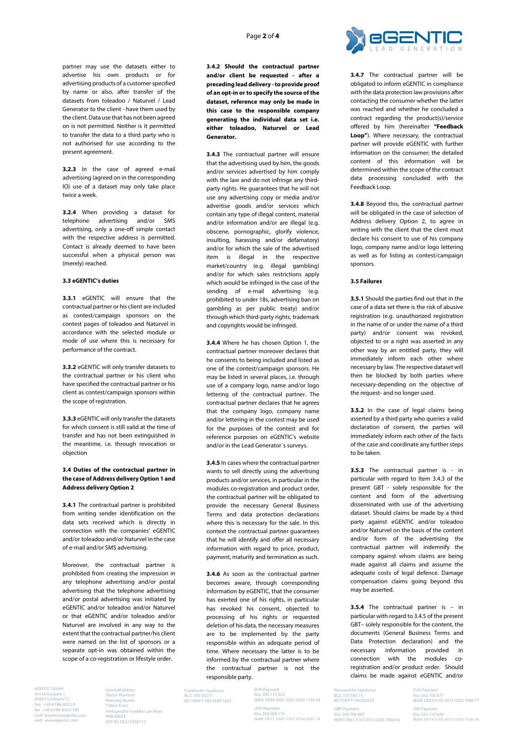partner may use the datasets either to advertise his own products or for advertising products of a customer specified by name or also, after transfer of the datasets from toleadoo / Naturvel / Lead Generator to the client - have them used by the client. Data use that has not been agreed on is not permitted. Neither is it permitted to transfer the data to a third party who is not authorised for use according to the present agreement.

**3.2.3** In the case of agreed e-mail advertising (agreed on in the corresponding IO) use of a dataset may only take place twice a week.

**3.2.4** When providing a dataset for telephone advertising and/or SMS advertising, only a one-off simple contact with the respective address is permitted. Contact is already deemed to have been successful when a physical person was (merely) reached.

### **3.3 eGENTIC's duties**

**3.3.1** eGENTIC will ensure that the contractual partner or his client are included as contest/campaign sponsors on the contest pages of toleadoo and Naturvel in accordance with the selected module or mode of use where this is necessary for performance of the contract.

**3.3.2** eGENTIC will only transfer datasets to the contractual partner or his client who have specified the contractual partner or his client as contest/campaign sponsors within the scope of registration.

**3.3.3** eGENTIC will only transfer the datasets for which consent is still valid at the time of transfer and has not been extinguished in the meantime, i.e. through revocation or objection

## **3.4 Duties of the contractual partner in the case of Address delivery Option 1 and Address delivery Option 2**

**3.4.1** The contractual partner is prohibited from writing sender identification on the data sets received which is directly in connection with the companies' eGENTIC and/or toleadoo and/or Naturvel in the case of e-mail and/or SMS advertising.

Moreover, the contractual partner is prohibited from creating the impression in any telephone advertising and/or postal advertising that the telephone advertising and/or postal advertising was initiated by eGENTIC and/or toleadoo and/or Naturvel or that eGENTIC and/or toleadoo and/or Naturvel are involved in any way to the extent that the contractual partner/his client were named on the list of sponsors or a separate opt-in was obtained within the scope of a co-registration or lifestyle order.

eGENTIC GmbH Am Unisyspark 1 65843 Sulzbach/Ts. fon +49-6196-8022-0 fax +49-6196-8022-100 mail business@egentic.com web www.egentic.com

Geschäftsführer: Héctor Martinez Henning Munte Tobias Kratz uaaz<br>richt Frankfurt am Main HRB 80853 VAT-ID: DE215956112

**3.4.2 Should the contractual partner and/or client be requested - after a preceding lead delivery - to provide proof of an opt-in or to specify the source of the dataset, reference may only be made in this case to the responsible company generating the individual data set i.e. either toleadoo, Naturvel or Lead Generator.**

**3.4.3** The contractual partner will ensure that the advertising used by him, the goods and/or services advertised by him comply with the law and do not infringe any thirdparty rights. He guarantees that he will not use any advertising copy or media and/or advertise goods and/or services which contain any type of illegal content, material and/or information and/or are illegal (e.g. obscene, pornographic, glorify violence, insulting, harassing and/or defamatory) and/or for which the sale of the advertised item is illegal in the respective market/country (e.g. illegal gambling) and/or for which sales restrictions apply which would be infringed in the case of the sending of e-mail advertising (e.g. prohibited to under 18s, advertising ban on gambling as per public treaty) and/or through which third-party rights, trademark and copyrights would be infringed.

**3.4.4** Where he has chosen Option 1, the contractual partner moreover declares that he consents to being included and listed as one of the contest/campaign sponsors. He may be listed in several places, i.e. through use of a company logo, name and/or logo lettering of the contractual partner. The contractual partner declares that he agrees that the company logo, company name and/or lettering in the contest may be used for the purposes of the contest and for reference purposes on eGENTIC's website and/or in the Lead Generator´s surveys.

**3.4.5** In cases where the contractual partner wants to sell directly using the advertising products and/or services, in particular in the modules co-registration and product order, the contractual partner will be obligated to provide the necessary General Business Terms and data protection declarations where this is necessary for the sale. In this context the contractual partner guarantees that he will identify and offer all necessary information with regard to price, product, payment, maturity and termination as such.

**3.4.6** As soon as the contractual partner becomes aware, through corresponding information by eGENTIC, that the consumer has exerted one of his rights, in particular has revoked his consent, objected to processing of his rights or requested deletion of his data, the necessary measures are to be implemented by the party responsible within an adequate period of time. Where necessary the latter is to be informed by the contractual partner where the contractual partner is not the responsible party.

EUR-Payment

USD-Payment Kto: 254 009 174

Kto: 200 174 924 IBAN: DE94 5005 0201 0200 1749 24

1<br>E 0201 0254 0091 74

Frankfurter Sparkasse BLZ: 500 502 01 BIC/SWIFT: HELADEF1822 **GGENTI** 

**3.4.7** The contractual partner will be obligated to inform eGENTIC in compliance with the data protection law provisions after contacting the consumer whether the latter was reached and whether he concluded a contract regarding the product(s)/service offered by him (hereinafter **"Feedback Loop"**). Where necessary, the contractual partner will provide eGENTIC with further information on the consumer; the detailed content of this information will be determined within the scope of the contract data processing concluded with the Feedback Loop.

**3.4.8** Beyond this, the contractual partner will be obligated in the case of selection of Address delivery Option 2, to agree in writing with the client that the client must declare his consent to use of his company logo, company name and/or logo lettering as well as for listing as contest/campaign sponsors.

## **3.5 Failures**

**3.5.1** Should the parties find out that in the case of a data set there is the risk of abusive registration (e.g. unauthorized registration in the name of or under the name of a third party) and/or consent was revoked, objected to or a right was asserted in any other way by an entitled party, they will immediately inform each other where necessary by law. The respective dataset will then be blocked by both parties where necessary-depending on the objective of the request- and no longer used.

**3.5.2** In the case of legal claims being asserted by a third party who queries a valid declaration of consent, the parties will immediately inform each other of the facts of the case and coordinate any further steps to be taken.

**3.5.3** The contractual partner is - in particular with regard to Item 3.4.3 of the present GBT - solely responsible for the content and form of the advertising disseminated with use of the advertising dataset. Should claims be made by a third party against eGENTIC and/or toleadoo and/or Naturvel on the basis of the content and/or form of the advertising the contractual partner will indemnify the company against whom claims are being made against all claims and assume the adequate costs of legal defence. Damage compensation claims going beyond this may be asserted.

**3.5.4** The contractual partner is – in particular with regard to 3.4.5 of the present GBT– solely responsible for the content, the documents (General Business Terms and Data Protection declaration) and the necessary information provided in connection with the modules coregistration and/or product order. Should claims be made against eGENTIC and/or

Nassauische Sparkasse BLZ: 510 500 15 BIC/SWIFT: NASSDE55 GBP-Payment Kto: 263 706 863 IBAN: DE61 5105 0015 0263 7068 63

PLN-Payment Kto: 263 708 877 IBAN: DE03 5105 0015 0263 7088 77 SEK-Paym Kto: 263 710 626 IBAN: DE19 5105 0015 0263 7106 26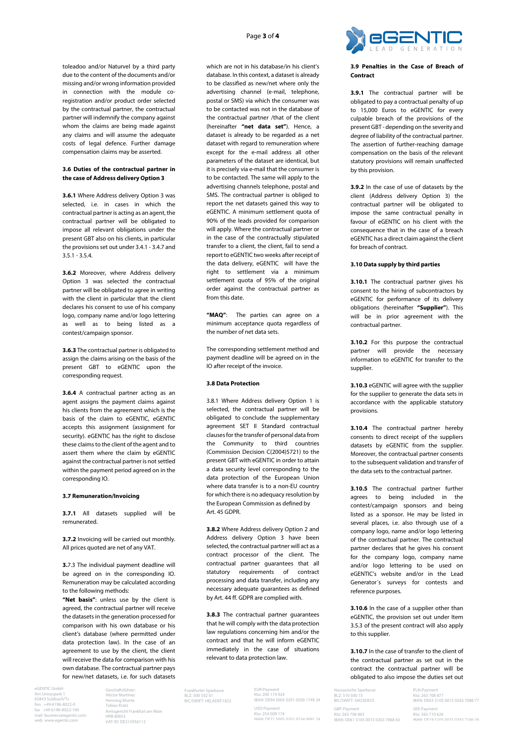toleadoo and/or Naturvel by a third party due to the content of the documents and/or missing and/or wrong information provided in connection with the module coregistration and/or product order selected by the contractual partner, the contractual partner will indemnify the company against whom the claims are being made against any claims and will assume the adequate costs of legal defence. Further damage compensation claims may be asserted.

# **3.6 Duties of the contractual partner in the case of Address delivery Option 3**

**3.6.1** Where Address delivery Option 3 was selected, i.e. in cases in which the contractual partner is acting as an agent, the contractual partner will be obligated to impose all relevant obligations under the present GBT also on his clients, in particular the provisions set out under 3.4.1 - 3.4.7 and 3.5.1 - 3.5.4.

**3.6.2** Moreover, where Address delivery Option 3 was selected the contractual partner will be obligated to agree in writing with the client in particular that the client declares his consent to use of his company logo, company name and/or logo lettering as well as to being listed as a contest/campaign sponsor.

**3.6.3** The contractual partner is obligated to assign the claims arising on the basis of the present GBT to eGENTIC upon the corresponding request.

**3.6.4** A contractual partner acting as an agent assigns the payment claims against his clients from the agreement which is the basis of the claim to eGENTIC, eGENTIC accepts this assignment (assignment for security). eGENTIC has the right to disclose these claims to the client of the agent and to assert them where the claim by eGENTIC against the contractual partner is not settled within the payment period agreed on in the corresponding IO.

# **3.7 Remuneration/Invoicing**

**3.7.1** All datasets supplied will be remunerated.

**3.7.2** Invoicing will be carried out monthly. All prices quoted are net of any VAT.

**3.**7.3 The individual payment deadline will be agreed on in the corresponding IO. Remuneration may be calculated according to the following methods:

**"Net basis"**: unless use by the client is agreed, the contractual partner will receive the datasets in the generation processed for comparison with his own database or his client's database (where permitted under data protection law). In the case of an agreement to use by the client, the client will receive the data for comparison with his own database. The contractual partner pays for new/net datasets, i.e. for such datasets

eGENTIC GmbH Am Unisyspark 1 65843 Sulzbach/Ts. fon +49-6196-8022-0 fax +49-6196-8022-100 mail business@egentic.com web www.egentic.com

Geschäftsführe Héctor Martinez Henning Munte Tobias Kratz uaaz<br>richt Frankfurt am Main HRB 80853 VAT-ID: DE215956112

which are not in his database/in his client's database. In this context, a dataset is already to be classified as new/net where only the advertising channel (e-mail, telephone, postal or SMS) via which the consumer was to be contacted was not in the database of the contractual partner /that of the client (hereinafter **"net data set"**). Hence, a dataset is already to be regarded as a net dataset with regard to remuneration where except for the e-mail address all other parameters of the dataset are identical, but it is precisely via e-mail that the consumer is to be contacted. The same will apply to the advertising channels telephone, postal and SMS. The contractual partner is obliged to report the net datasets gained this way to eGENTIC. A minimum settlement quota of 90% of the leads provided for comparison will apply. Where the contractual partner or in the case of the contractually stipulated transfer to a client, the client, fail to send a report to eGENTIC two weeks after receipt of the data delivery, eGENTIC will have the right to settlement via a minimum settlement quota of 95% of the original order against the contractual partner as from this date.

**"MAQ"**: The parties can agree on a minimum acceptance quota regardless of the number of net data sets.

The corresponding settlement method and payment deadline will be agreed on in the IO after receipt of the invoice.

## **3.8 Data Protection**

3.8.1 Where Address delivery Option 1 is selected, the contractual partner will be obligated to conclude the supplementary agreement SET II Standard contractual clauses for the transfer of personal data from Community to third countries (Commission Decision C(2004)5721) to the present GBT with eGENTIC in order to attain a data security level corresponding to the data protection of the European Union where data transfer is to a non-EU country for which there is no adequacy resolution by the European Commission as defined by Art. 45 GDPR.

**3.8.2** Where Address delivery Option 2 and Address delivery Option 3 have been selected, the contractual partner will act as a contract processor of the client. The contractual partner guarantees that all statutory requirements of contract processing and data transfer, including any necessary adequate guarantees as defined by Art. 44 ff. GDPR are complied with.

**3.8.3** The contractual partner guarantees that he will comply with the data protection law regulations concerning him and/or the contract and that he will inform eGENTIC immediately in the case of situations relevant to data protection law.

Frankfurter Sparkasse BLZ: 500 502.01 BIC/SWIFT: HELADEF1822 EUR-Payment Kto: 200 174 924 IBAN: DE94 5005 0201 0200 1749 24 USD-Payment Kto: 254 009 174 4<br>E 0201 0254 0091 74



#### **3.9 Penalties in the Case of Breach of Contract**

**3.9.1** The contractual partner will be obligated to pay a contractual penalty of up to 15,000 Euros to eGENTIC for every culpable breach of the provisions of the present GBT - depending on the severity and degree of liability of the contractual partner. The assertion of further-reaching damage compensation on the basis of the relevant statutory provisions will remain unaffected by this provision.

**3.9.2** In the case of use of datasets by the client (Address delivery Option 3) the contractual partner will be obligated to impose the same contractual penalty in favour of eGENTIC on his client with the consequence that in the case of a breach eGENTIC has a direct claim against the client for breach of contract.

## **3.10 Data supply by third parties**

**3.10.1** The contractual partner gives his consent to the hiring of subcontractors by eGENTIC for performance of its delivery obligations (hereinafter **"Supplier"**). This will be in prior agreement with the contractual partner.

**3.10.2** For this purpose the contractual partner will provide the necessary information to eGENTIC for transfer to the supplier.

**3.10.3** eGENTIC will agree with the supplier for the supplier to generate the data sets in accordance with the applicable statutory provisions.

**3.10.4** The contractual partner hereby consents to direct receipt of the suppliers datasets by eGENTIC from the supplier. Moreover, the contractual partner consents to the subsequent validation and transfer of the data sets to the contractual partner.

**3.10.5** The contractual partner further agrees to being included in the contest/campaign sponsors and being listed as a sponsor. He may be listed in several places, i.e. also through use of a company logo, name and/or logo lettering of the contractual partner. The contractual partner declares that he gives his consent for the company logo, company name and/or logo lettering to be used on eGENTIC's website and/or in the Lead Generator´s surveys for contests and reference purposes.

**3.10.6** In the case of a supplier other than eGENTIC, the provision set out under Item 3.5.3 of the present contract will also apply to this supplier.

**3.10.7** In the case of transfer to the client of the contractual partner as set out in the contract the contractual partner will be obligated to also impose the duties set out

Nassauische Sparkasse BLZ: 510 500 15 BIC/SWIFT: NASSDE55

GBP-Payment Kto: 263 706 863 IBAN: DE61 5105 0015 0263 7068 63

PLN-Payment Kto: 263 708 877 IBAN: DE03 5105 0015 0263 7088 77 SEK-Paym Kto: 263 710 626 IBAN: DE19 5105 0015 0263 7106 26